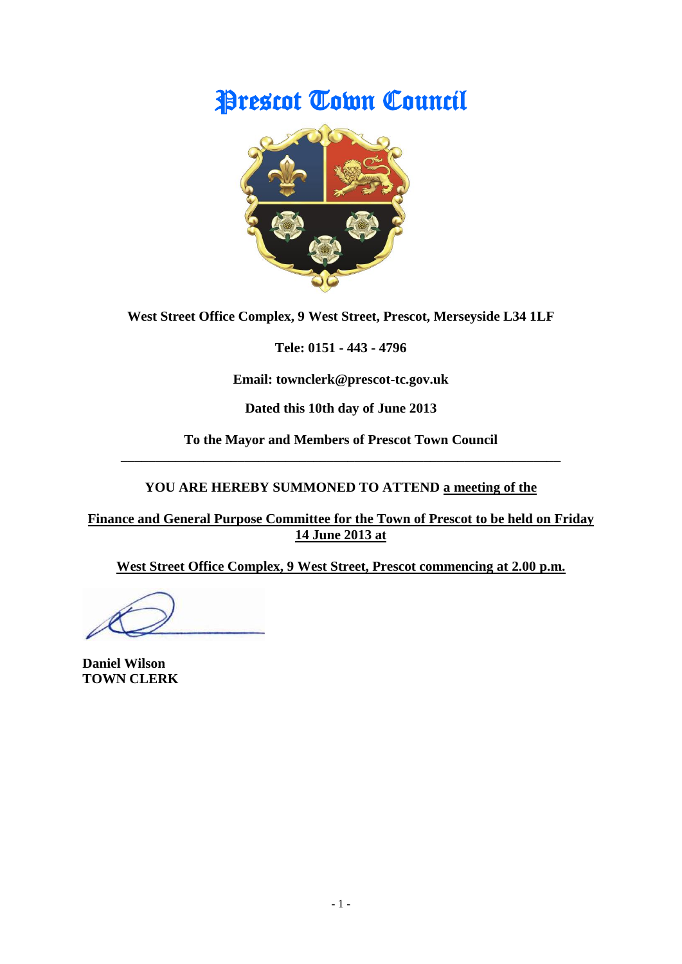# Prescot Town Council



**West Street Office Complex, 9 West Street, Prescot, Merseyside L34 1LF**

**Tele: 0151 - 443 - 4796**

**Email: townclerk@prescot-tc.gov.uk**

**Dated this 10th day of June 2013**

**To the Mayor and Members of Prescot Town Council \_\_\_\_\_\_\_\_\_\_\_\_\_\_\_\_\_\_\_\_\_\_\_\_\_\_\_\_\_\_\_\_\_\_\_\_\_\_\_\_\_\_\_\_\_\_\_\_\_\_\_\_\_\_\_\_\_\_\_\_\_\_\_\_**

# **YOU ARE HEREBY SUMMONED TO ATTEND a meeting of the**

**Finance and General Purpose Committee for the Town of Prescot to be held on Friday 14 June 2013 at**

**West Street Office Complex, 9 West Street, Prescot commencing at 2.00 p.m.**

**Daniel Wilson TOWN CLERK**